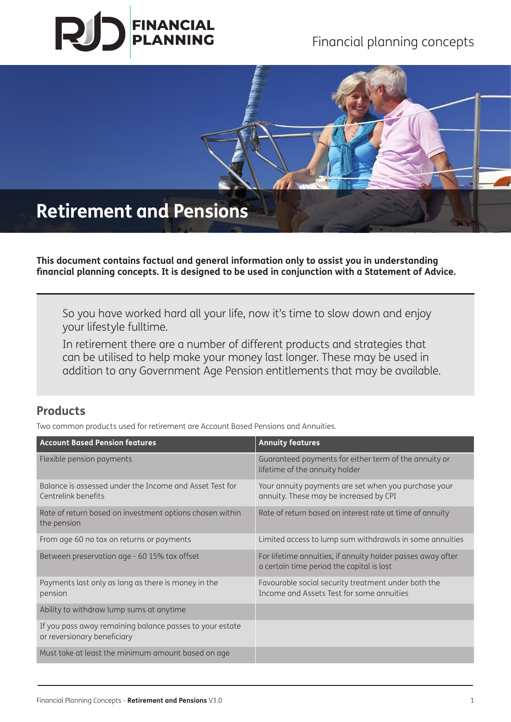

Financial planning concepts



# **Retirement and Pensions**

**This document contains factual and general information only to assist you in understanding financial planning concepts. It is designed to be used in conjunction with a Statement of Advice.** 

So you have worked hard all your life, now it's time to slow down and enjoy your lifestyle fulltime.

In retirement there are a number of different products and strategies that can be utilised to help make your money last longer. These may be used in addition to any Government Age Pension entitlements that may be available.

### **Products**

Two common products used for retirement are Account Based Pensions and Annuities.

| <b>Account Based Pension features</b>                                                   | <b>Annuity features</b>                                                                                  |
|-----------------------------------------------------------------------------------------|----------------------------------------------------------------------------------------------------------|
| Flexible pension payments                                                               | Guaranteed payments for either term of the annuity or<br>lifetime of the annuity holder                  |
| Balance is assessed under the Income and Asset Test for<br>Centrelink benefits          | Your annuity payments are set when you purchase your<br>annuity. These may be increased by CPI           |
| Rate of return based on investment options chosen within<br>the pension                 | Rate of return based on interest rate at time of annuity                                                 |
| From age 60 no tax on returns or payments                                               | Limited access to lump sum withdrawals in some annuities                                                 |
| Between preservation age - 60 15% tax offset                                            | For lifetime annuities, if annuity holder passes away after<br>a certain time period the capital is lost |
| Payments last only as long as there is money in the<br>pension                          | Favourable social security treatment under both the<br>Income and Assets Test for some annuities         |
| Ability to withdraw lump sums at anytime                                                |                                                                                                          |
| If you pass away remaining balance passes to your estate<br>or reversionary beneficiary |                                                                                                          |
| Must take at least the minimum amount based on age                                      |                                                                                                          |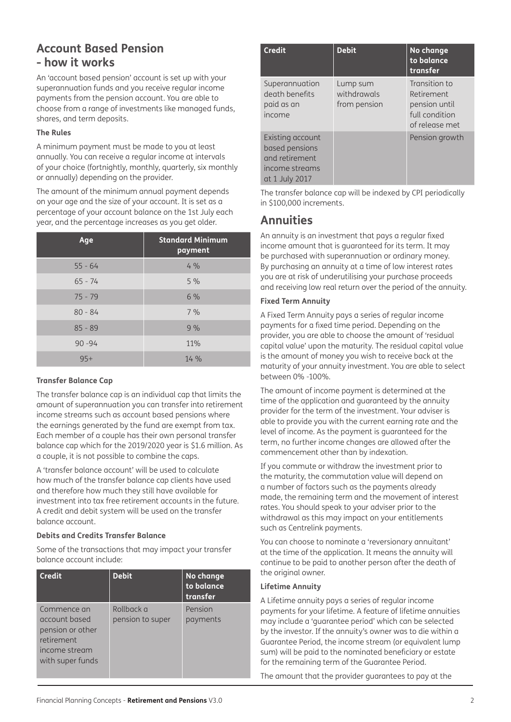### **Account Based Pension - how it works**

An 'account based pension' account is set up with your superannuation funds and you receive regular income payments from the pension account. You are able to choose from a range of investments like managed funds, shares, and term deposits.

#### **The Rules**

A minimum payment must be made to you at least annually. You can receive a regular income at intervals of your choice (fortnightly, monthly, quarterly, six monthly or annually) depending on the provider.

The amount of the minimum annual payment depends on your age and the size of your account. It is set as a percentage of your account balance on the 1st July each year, and the percentage increases as you get older.

| Age       | <b>Standard Minimum</b><br>payment |
|-----------|------------------------------------|
| $55 - 64$ | 4%                                 |
| $65 - 74$ | 5 %                                |
| $75 - 79$ | 6 %                                |
| $80 - 84$ | 7%                                 |
| $85 - 89$ | 9%                                 |
| $90 - 94$ | 11%                                |
| $95+$     | 14 %                               |

#### **Transfer Balance Cap**

The transfer balance cap is an individual cap that limits the amount of superannuation you can transfer into retirement income streams such as account based pensions where the earnings generated by the fund are exempt from tax. Each member of a couple has their own personal transfer balance cap which for the 2019/2020 year is \$1.6 million. As a couple, it is not possible to combine the caps.

A 'transfer balance account' will be used to calculate how much of the transfer balance cap clients have used and therefore how much they still have available for investment into tax free retirement accounts in the future. A credit and debit system will be used on the transfer balance account.

#### **Debits and Credits Transfer Balance**

Some of the transactions that may impact your transfer balance account include:

| <b>Credit</b>                                                                                       | <b>Debit</b>                   | No change<br>to balance<br>transfer |
|-----------------------------------------------------------------------------------------------------|--------------------------------|-------------------------------------|
| Commence an<br>account based<br>pension or other<br>retirement<br>income stream<br>with super funds | Rollback a<br>pension to super | Pension<br>payments                 |

| <b>Credit</b>                                                                            | <b>Debit</b>                            | No change<br>to balance<br>transfer                                              |
|------------------------------------------------------------------------------------------|-----------------------------------------|----------------------------------------------------------------------------------|
| Superannuation<br>death benefits<br>paid as an<br>income                                 | Lump sum<br>withdrawals<br>from pension | Transition to<br>Retirement<br>pension until<br>full condition<br>of release met |
| Existing account<br>based pensions<br>and retirement<br>income streams<br>at 1 July 2017 |                                         | Pension growth                                                                   |

The transfer balance cap will be indexed by CPI periodically in \$100,000 increments.

# **Annuities**

An annuity is an investment that pays a regular fixed income amount that is guaranteed for its term. It may be purchased with superannuation or ordinary money. By purchasing an annuity at a time of low interest rates you are at risk of underutilising your purchase proceeds and receiving low real return over the period of the annuity.

#### **Fixed Term Annuity**

A Fixed Term Annuity pays a series of regular income payments for a fixed time period. Depending on the provider, you are able to choose the amount of 'residual capital value' upon the maturity. The residual capital value is the amount of money you wish to receive back at the maturity of your annuity investment. You are able to select between 0% -100%.

The amount of income payment is determined at the time of the application and guaranteed by the annuity provider for the term of the investment. Your adviser is able to provide you with the current earning rate and the level of income. As the payment is guaranteed for the term, no further income changes are allowed after the commencement other than by indexation.

If you commute or withdraw the investment prior to the maturity, the commutation value will depend on a number of factors such as the payments already made, the remaining term and the movement of interest rates. You should speak to your adviser prior to the withdrawal as this may impact on your entitlements such as Centrelink payments.

You can choose to nominate a 'reversionary annuitant' at the time of the application. It means the annuity will continue to be paid to another person after the death of the original owner.

#### **Lifetime Annuity**

A Lifetime annuity pays a series of regular income payments for your lifetime. A feature of lifetime annuities may include a 'guarantee period' which can be selected by the investor. If the annuity's owner was to die within a Guarantee Period, the income stream (or equivalent lump sum) will be paid to the nominated beneficiary or estate for the remaining term of the Guarantee Period.

The amount that the provider guarantees to pay at the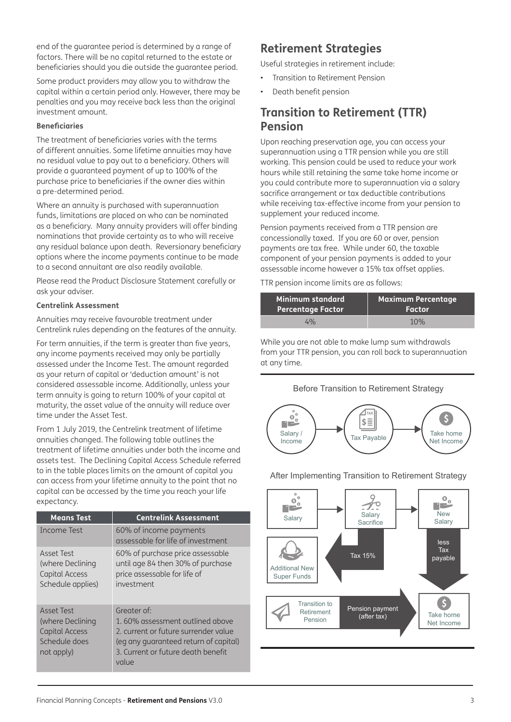end of the guarantee period is determined by a range of factors. There will be no capital returned to the estate or beneficiaries should you die outside the guarantee period.

Some product providers may allow you to withdraw the capital within a certain period only. However, there may be penalties and you may receive back less than the original investment amount.

#### **Beneficiaries**

The treatment of beneficiaries varies with the terms of different annuities. Some lifetime annuities may have no residual value to pay out to a beneficiary. Others will provide a guaranteed payment of up to 100% of the purchase price to beneficiaries if the owner dies within a pre-determined period.

Where an annuity is purchased with superannuation funds, limitations are placed on who can be nominated as a beneficiary. Many annuity providers will offer binding nominations that provide certainty as to who will receive any residual balance upon death. Reversionary beneficiary options where the income payments continue to be made to a second annuitant are also readily available.

Please read the Product Disclosure Statement carefully or ask your adviser.

#### **Centrelink Assessment**

Annuities may receive favourable treatment under Centrelink rules depending on the features of the annuity.

For term annuities, if the term is greater than five years, any income payments received may only be partially assessed under the Income Test. The amount regarded as your return of capital or 'deduction amount' is not considered assessable income. Additionally, unless your term annuity is going to return 100% of your capital at maturity, the asset value of the annuity will reduce over time under the Asset Test.

From 1 July 2019, the Centrelink treatment of lifetime annuities changed. The following table outlines the treatment of lifetime annuities under both the income and assets test. The Declining Capital Access Schedule referred to in the table places limits on the amount of capital you can access from your lifetime annuity to the point that no capital can be accessed by the time you reach your life expectancy.

| <b>Means Test</b>                                                                      | <b>Centrelink Assessment</b>                                                                                                                                                   |
|----------------------------------------------------------------------------------------|--------------------------------------------------------------------------------------------------------------------------------------------------------------------------------|
| Income Test                                                                            | 60% of income payments<br>assessable for life of investment                                                                                                                    |
| Asset Test<br>(where Declining<br>Capital Access<br>Schedule applies)                  | 60% of purchase price assessable<br>until age 84 then 30% of purchase<br>price assessable for life of<br>investment                                                            |
| Asset Test<br>(where Declining<br><b>Capital Access</b><br>Schedule does<br>not apply) | Greater of:<br>1.60% assessment outlined above<br>2. current or future surrender value<br>(eg any guaranteed return of capital)<br>3. Current or future death benefit<br>value |

## **Retirement Strategies**

Useful strategies in retirement include:

- Transition to Retirement Pension
- Death benefit pension

### **Transition to Retirement (TTR) Pension**

Upon reaching preservation age, you can access your superannuation using a TTR pension while you are still working. This pension could be used to reduce your work hours while still retaining the same take home income or you could contribute more to superannuation via a salary sacrifice arrangement or tax deductible contributions while receiving tax-effective income from your pension to supplement your reduced income.

Pension payments received from a TTR pension are concessionally taxed. If you are 60 or over, pension payments are tax free. While under 60, the taxable component of your pension payments is added to your assessable income however a 15% tax offset applies.

TTR pension income limits are as follows:

I

| Minimum standard         | <b>Maximum Percentage</b> |
|--------------------------|---------------------------|
| <b>Percentage Factor</b> | <b>Factor</b>             |
| 4%                       | 10%                       |

While you are not able to make lump sum withdrawals from your TTR pension, you can roll back to superannuation at any time.

#### Before Transition to Retirement Strategy



After Implementing Transition to Retirement Strategy